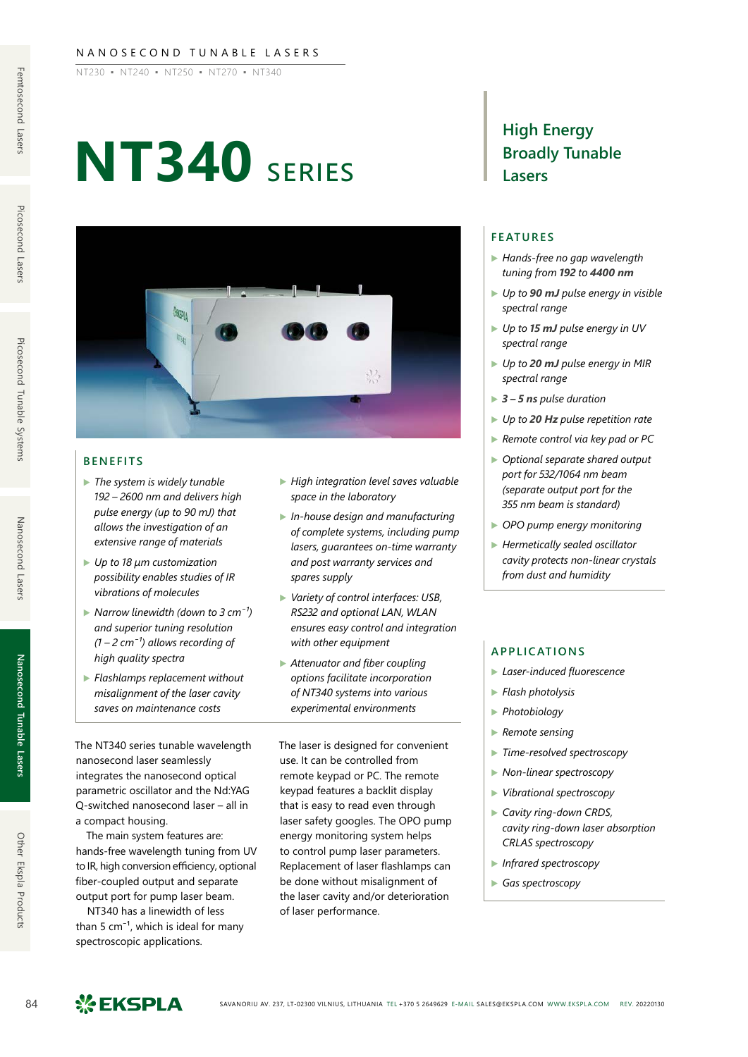#### NANOSECOND TUNABLE LASERS

NT230 ▪ NT240 ▪ NT250 ▪ NT270 ▪ NT340

# **NT340** series



#### **BENEFITS**

- ▶ *The system is widely tunable 192 – 2600 nm and delivers high pulse energy (up to 90 mJ) that allows the investigation of an extensive range of materials*
- ▶ *Up to 18 μm customization possibility enables studies of IR vibrations of molecules*
- ▶ *Narrow linewidth (down to 3 cm<sup>-1</sup>) and superior tuning resolution*   $(1 – 2 cm<sup>-1</sup>)$  allows recording of *high quality spectra*
- ▶ *Flashlamps replacement without misalignment of the laser cavity saves on maintenance costs*
- The NT340 series tunable wavelength nanosecond laser seamlessly integrates the nanosecond optical parametric oscillator and the Nd:YAG Q-switched nanosecond laser – all in a compact housing.

The main system features are: hands-free wavelength tuning from UV to IR, high conversion efficiency, optional fiber-coupled output and separate output port for pump laser beam.

NT340 has a linewidth of less than 5  $cm^{-1}$ , which is ideal for many spectroscopic applications.

- ▶ *High integration level saves valuable space in the laboratory*
- ▶ *In-house design and manufacturing of complete systems, including pump lasers, guarantees on-time warranty and post warranty services and spares supply*
- ▶ *Variety of control interfaces: USB, RS232 and optional LAN, WLAN ensures easy control and integration with other equipment*
- ▶ *Attenuator and fiber coupling options facilitate incorporation of NT340 systems into various experimental environments*

The laser is designed for convenient use. It can be controlled from remote keypad or PC. The remote keypad features a backlit display that is easy to read even through laser safety googles. The OPO pump energy monitoring system helps to control pump laser parameters. Replacement of laser flashlamps can be done without misalignment of the laser cavity and/or deterioration of laser performance.

### **High Energy Broadly Tunable Lasers**

#### **FEATURES**

- ▶ *Hands-free no gap wavelength tuning from 192 to 4400 nm*
- ▶ *Up to 90 mJ pulse energy in visible spectral range*
- ▶ *Up to 15 mJ pulse energy in UV spectral range*
- ▶ *Up to 20 mJ pulse energy in MIR spectral range*
- ▶ *3 5 ns pulse duration*
- ▶ *Up to 20 Hz pulse repetition rate*
- ▶ *Remote control via key pad or PC*
- ▶ *Optional separate shared output port for 532/1064 nm beam (separate output port for the 355 nm beam is standard)*
- ▶ *OPO pump energy monitoring*
- ▶ *Hermetically sealed oscillator cavity protects non-linear crystals from dust and humidity*

#### **APPLICATIONS**

- ▶ *Laser-induced fluorescence*
- ▶ *Flash photolysis*
- ▶ *Photobiology*
- ▶ *Remote sensing*
- ▶ *Time-resolved spectroscopy*
- ▶ *Non-linear spectroscopy*
- ▶ *Vibrational spectroscopy*
- ▶ *Cavity ring-down CRDS, cavity ring-down laser absorption CRLAS spectroscopy*
- ▶ *Infrared spectroscopy*
- ▶ *Gas spectroscopy*

Other Ekspla Products

**Nanosecond Tunable Lasers**

Nanosecond Tunable Lasers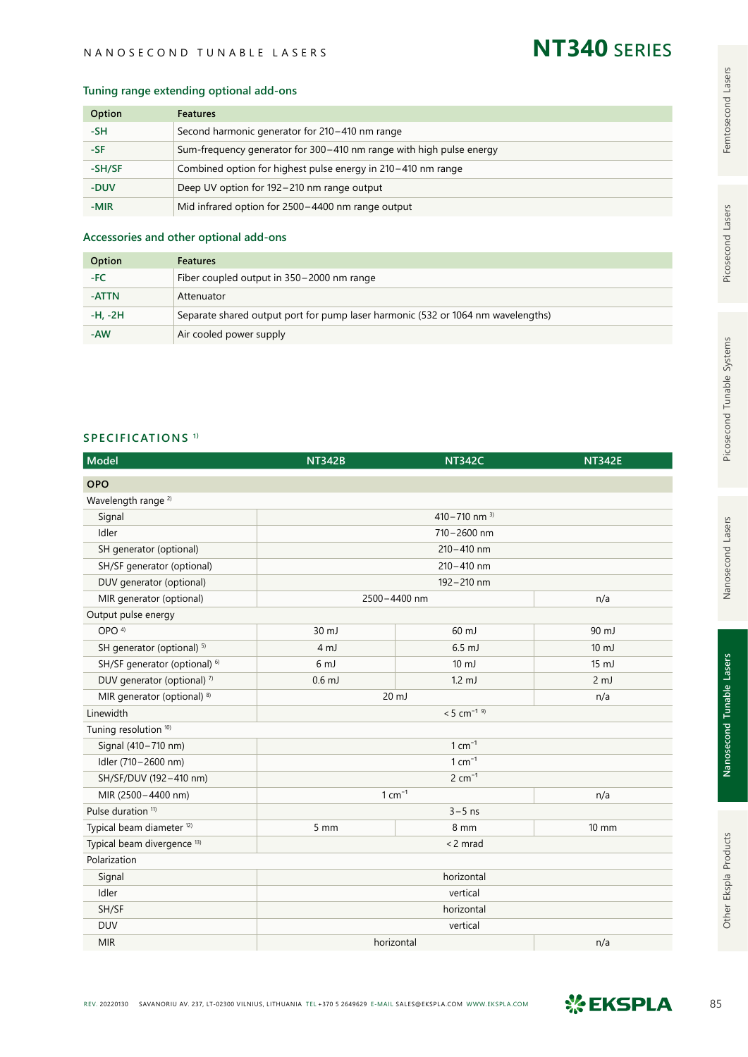#### NANOSECOND TUNABLE LASERS

## **NT340** series

#### **Tuning range extending optional add-ons**

| Option | <b>Features</b>                                                     |  |
|--------|---------------------------------------------------------------------|--|
| -SH    | Second harmonic generator for 210-410 nm range                      |  |
| -SF.   | Sum-frequency generator for 300–410 nm range with high pulse energy |  |
| -SH/SF | Combined option for highest pulse energy in 210-410 nm range        |  |
| -DUV   | Deep UV option for 192 – 210 nm range output                        |  |
| -MIR   | Mid infrared option for 2500-4400 nm range output                   |  |

#### **Accessories and other optional add-ons**

| Option    | <b>Features</b>                                                                  |
|-----------|----------------------------------------------------------------------------------|
| -FC       | Fiber coupled output in 350-2000 nm range                                        |
| -ATTN     | Attenuator                                                                       |
| $-H, -2H$ | Separate shared output port for pump laser harmonic (532 or 1064 nm wavelengths) |
| -AW       | Air cooled power supply                                                          |

#### **SPECIFICATIONS 1)**

| <b>Model</b>                             | <b>NT342B</b>             | <b>NT342C</b>    | <b>NT342E</b>   |  |
|------------------------------------------|---------------------------|------------------|-----------------|--|
| <b>OPO</b>                               |                           |                  |                 |  |
| Wavelength range <sup>2)</sup>           |                           |                  |                 |  |
| Signal                                   | 410 – 710 nm $3)$         |                  |                 |  |
| Idler                                    |                           |                  |                 |  |
| SH generator (optional)                  |                           |                  |                 |  |
| SH/SF generator (optional)               |                           |                  |                 |  |
| DUV generator (optional)                 | 192-210 nm                |                  |                 |  |
| MIR generator (optional)                 | 2500-4400 nm              |                  | n/a             |  |
| Output pulse energy                      |                           |                  |                 |  |
| OPO <sup>4)</sup>                        | 30 mJ                     | 60 mJ            | 90 mJ           |  |
| SH generator (optional) <sup>5)</sup>    | 4 <sub>mJ</sub>           | $6.5$ mJ         | $10 \text{ mJ}$ |  |
| SH/SF generator (optional) <sup>6)</sup> | 6 <sub>mJ</sub>           | $10 \mathrm{mJ}$ | $15 \text{ mJ}$ |  |
| DUV generator (optional) 7)              | $0.6$ mJ                  | $1.2 \text{ mJ}$ | 2 <sub>mJ</sub> |  |
| MIR generator (optional) 8)              | $20 \text{ mJ}$<br>n/a    |                  |                 |  |
| Linewidth                                | $< 5$ cm <sup>-1 9)</sup> |                  |                 |  |
| Tuning resolution <sup>10)</sup>         |                           |                  |                 |  |
| Signal (410-710 nm)                      |                           |                  |                 |  |
| Idler (710-2600 nm)                      |                           |                  |                 |  |
| SH/SF/DUV (192-410 nm)                   | $2 cm-1$                  |                  |                 |  |
| MIR (2500-4400 nm)                       | $1 cm-1$                  |                  | n/a             |  |
| Pulse duration <sup>11)</sup>            | $3 - 5$ ns                |                  |                 |  |
| Typical beam diameter <sup>12)</sup>     | $5 \, \text{mm}$          | 8 mm             | $10 \text{ mm}$ |  |
| Typical beam divergence <sup>13)</sup>   | <2 mrad                   |                  |                 |  |
| Polarization                             |                           |                  |                 |  |
| Signal                                   | horizontal                |                  |                 |  |
| Idler                                    | vertical                  |                  |                 |  |
| SH/SF                                    | horizontal                |                  |                 |  |
| <b>DUV</b>                               | vertical                  |                  |                 |  |
| <b>MIR</b>                               | horizontal                |                  | n/a             |  |

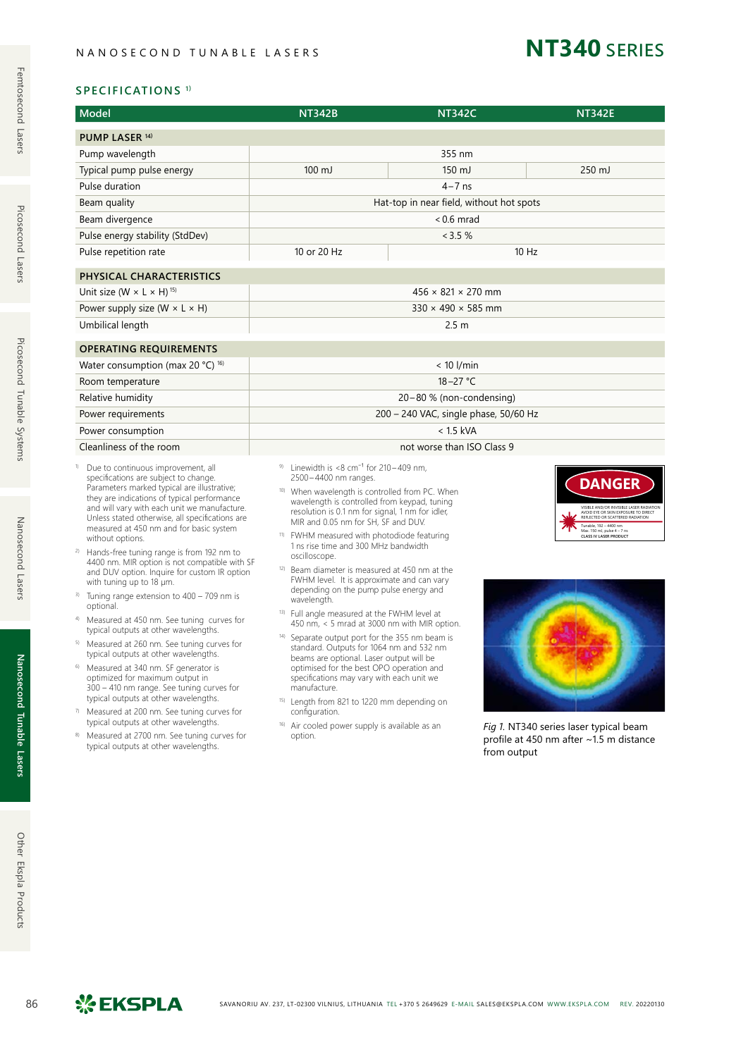## **NT340** series

#### **SPECIFICATIONS 1)**

| <b>Model</b>                                                                                                                                                                                                                                                                                                                                                                                                                                                                                                                                                                                                                                                                                                                                                                                                                                                                                                                                                                                                                                                                                                                                              | <b>NT342B</b>                                                                                                                                                                                                                                                                                                                                                                                                                                                                                                                                                                                                                                                                                                                                                                                                                                                                                                                                                                                                                                                                                                  | <b>NT342C</b>                  |             | <b>NT342E</b>                                                                                                                                                                                                                                                                          |  |
|-----------------------------------------------------------------------------------------------------------------------------------------------------------------------------------------------------------------------------------------------------------------------------------------------------------------------------------------------------------------------------------------------------------------------------------------------------------------------------------------------------------------------------------------------------------------------------------------------------------------------------------------------------------------------------------------------------------------------------------------------------------------------------------------------------------------------------------------------------------------------------------------------------------------------------------------------------------------------------------------------------------------------------------------------------------------------------------------------------------------------------------------------------------|----------------------------------------------------------------------------------------------------------------------------------------------------------------------------------------------------------------------------------------------------------------------------------------------------------------------------------------------------------------------------------------------------------------------------------------------------------------------------------------------------------------------------------------------------------------------------------------------------------------------------------------------------------------------------------------------------------------------------------------------------------------------------------------------------------------------------------------------------------------------------------------------------------------------------------------------------------------------------------------------------------------------------------------------------------------------------------------------------------------|--------------------------------|-------------|----------------------------------------------------------------------------------------------------------------------------------------------------------------------------------------------------------------------------------------------------------------------------------------|--|
| PUMP LASER <sup>14)</sup>                                                                                                                                                                                                                                                                                                                                                                                                                                                                                                                                                                                                                                                                                                                                                                                                                                                                                                                                                                                                                                                                                                                                 |                                                                                                                                                                                                                                                                                                                                                                                                                                                                                                                                                                                                                                                                                                                                                                                                                                                                                                                                                                                                                                                                                                                |                                |             |                                                                                                                                                                                                                                                                                        |  |
| Pump wavelength                                                                                                                                                                                                                                                                                                                                                                                                                                                                                                                                                                                                                                                                                                                                                                                                                                                                                                                                                                                                                                                                                                                                           |                                                                                                                                                                                                                                                                                                                                                                                                                                                                                                                                                                                                                                                                                                                                                                                                                                                                                                                                                                                                                                                                                                                | 355 nm                         |             |                                                                                                                                                                                                                                                                                        |  |
| Typical pump pulse energy                                                                                                                                                                                                                                                                                                                                                                                                                                                                                                                                                                                                                                                                                                                                                                                                                                                                                                                                                                                                                                                                                                                                 | $100 \mathrm{mJ}$                                                                                                                                                                                                                                                                                                                                                                                                                                                                                                                                                                                                                                                                                                                                                                                                                                                                                                                                                                                                                                                                                              | $150 \mathrm{mJ}$              |             | 250 mJ                                                                                                                                                                                                                                                                                 |  |
| Pulse duration                                                                                                                                                                                                                                                                                                                                                                                                                                                                                                                                                                                                                                                                                                                                                                                                                                                                                                                                                                                                                                                                                                                                            |                                                                                                                                                                                                                                                                                                                                                                                                                                                                                                                                                                                                                                                                                                                                                                                                                                                                                                                                                                                                                                                                                                                | $4 - 7$ ns                     |             |                                                                                                                                                                                                                                                                                        |  |
| Beam quality                                                                                                                                                                                                                                                                                                                                                                                                                                                                                                                                                                                                                                                                                                                                                                                                                                                                                                                                                                                                                                                                                                                                              | Hat-top in near field, without hot spots                                                                                                                                                                                                                                                                                                                                                                                                                                                                                                                                                                                                                                                                                                                                                                                                                                                                                                                                                                                                                                                                       |                                |             |                                                                                                                                                                                                                                                                                        |  |
| Beam divergence                                                                                                                                                                                                                                                                                                                                                                                                                                                                                                                                                                                                                                                                                                                                                                                                                                                                                                                                                                                                                                                                                                                                           | $< 0.6$ mrad                                                                                                                                                                                                                                                                                                                                                                                                                                                                                                                                                                                                                                                                                                                                                                                                                                                                                                                                                                                                                                                                                                   |                                |             |                                                                                                                                                                                                                                                                                        |  |
| Pulse energy stability (StdDev)                                                                                                                                                                                                                                                                                                                                                                                                                                                                                                                                                                                                                                                                                                                                                                                                                                                                                                                                                                                                                                                                                                                           | <3.5%                                                                                                                                                                                                                                                                                                                                                                                                                                                                                                                                                                                                                                                                                                                                                                                                                                                                                                                                                                                                                                                                                                          |                                |             |                                                                                                                                                                                                                                                                                        |  |
| Pulse repetition rate                                                                                                                                                                                                                                                                                                                                                                                                                                                                                                                                                                                                                                                                                                                                                                                                                                                                                                                                                                                                                                                                                                                                     | 10 or 20 Hz<br>$10$ Hz                                                                                                                                                                                                                                                                                                                                                                                                                                                                                                                                                                                                                                                                                                                                                                                                                                                                                                                                                                                                                                                                                         |                                |             |                                                                                                                                                                                                                                                                                        |  |
| PHYSICAL CHARACTERISTICS                                                                                                                                                                                                                                                                                                                                                                                                                                                                                                                                                                                                                                                                                                                                                                                                                                                                                                                                                                                                                                                                                                                                  |                                                                                                                                                                                                                                                                                                                                                                                                                                                                                                                                                                                                                                                                                                                                                                                                                                                                                                                                                                                                                                                                                                                |                                |             |                                                                                                                                                                                                                                                                                        |  |
| Unit size (W $\times$ L $\times$ H) <sup>15)</sup>                                                                                                                                                                                                                                                                                                                                                                                                                                                                                                                                                                                                                                                                                                                                                                                                                                                                                                                                                                                                                                                                                                        |                                                                                                                                                                                                                                                                                                                                                                                                                                                                                                                                                                                                                                                                                                                                                                                                                                                                                                                                                                                                                                                                                                                | $456 \times 821 \times 270$ mm |             |                                                                                                                                                                                                                                                                                        |  |
| Power supply size (W $\times$ L $\times$ H)                                                                                                                                                                                                                                                                                                                                                                                                                                                                                                                                                                                                                                                                                                                                                                                                                                                                                                                                                                                                                                                                                                               |                                                                                                                                                                                                                                                                                                                                                                                                                                                                                                                                                                                                                                                                                                                                                                                                                                                                                                                                                                                                                                                                                                                | $330 \times 490 \times 585$ mm |             |                                                                                                                                                                                                                                                                                        |  |
| Umbilical length                                                                                                                                                                                                                                                                                                                                                                                                                                                                                                                                                                                                                                                                                                                                                                                                                                                                                                                                                                                                                                                                                                                                          |                                                                                                                                                                                                                                                                                                                                                                                                                                                                                                                                                                                                                                                                                                                                                                                                                                                                                                                                                                                                                                                                                                                | 2.5 <sub>m</sub>               |             |                                                                                                                                                                                                                                                                                        |  |
| <b>OPERATING REQUIREMENTS</b>                                                                                                                                                                                                                                                                                                                                                                                                                                                                                                                                                                                                                                                                                                                                                                                                                                                                                                                                                                                                                                                                                                                             |                                                                                                                                                                                                                                                                                                                                                                                                                                                                                                                                                                                                                                                                                                                                                                                                                                                                                                                                                                                                                                                                                                                |                                |             |                                                                                                                                                                                                                                                                                        |  |
| Water consumption (max 20 °C) <sup>16)</sup>                                                                                                                                                                                                                                                                                                                                                                                                                                                                                                                                                                                                                                                                                                                                                                                                                                                                                                                                                                                                                                                                                                              |                                                                                                                                                                                                                                                                                                                                                                                                                                                                                                                                                                                                                                                                                                                                                                                                                                                                                                                                                                                                                                                                                                                | $< 10$ l/min                   |             |                                                                                                                                                                                                                                                                                        |  |
| Room temperature                                                                                                                                                                                                                                                                                                                                                                                                                                                                                                                                                                                                                                                                                                                                                                                                                                                                                                                                                                                                                                                                                                                                          | $18 - 27$ °C                                                                                                                                                                                                                                                                                                                                                                                                                                                                                                                                                                                                                                                                                                                                                                                                                                                                                                                                                                                                                                                                                                   |                                |             |                                                                                                                                                                                                                                                                                        |  |
| Relative humidity                                                                                                                                                                                                                                                                                                                                                                                                                                                                                                                                                                                                                                                                                                                                                                                                                                                                                                                                                                                                                                                                                                                                         | 20-80 % (non-condensing)                                                                                                                                                                                                                                                                                                                                                                                                                                                                                                                                                                                                                                                                                                                                                                                                                                                                                                                                                                                                                                                                                       |                                |             |                                                                                                                                                                                                                                                                                        |  |
| Power requirements                                                                                                                                                                                                                                                                                                                                                                                                                                                                                                                                                                                                                                                                                                                                                                                                                                                                                                                                                                                                                                                                                                                                        | 200 - 240 VAC, single phase, 50/60 Hz                                                                                                                                                                                                                                                                                                                                                                                                                                                                                                                                                                                                                                                                                                                                                                                                                                                                                                                                                                                                                                                                          |                                |             |                                                                                                                                                                                                                                                                                        |  |
| Power consumption                                                                                                                                                                                                                                                                                                                                                                                                                                                                                                                                                                                                                                                                                                                                                                                                                                                                                                                                                                                                                                                                                                                                         |                                                                                                                                                                                                                                                                                                                                                                                                                                                                                                                                                                                                                                                                                                                                                                                                                                                                                                                                                                                                                                                                                                                | $< 1.5$ kVA                    |             |                                                                                                                                                                                                                                                                                        |  |
| Cleanliness of the room                                                                                                                                                                                                                                                                                                                                                                                                                                                                                                                                                                                                                                                                                                                                                                                                                                                                                                                                                                                                                                                                                                                                   |                                                                                                                                                                                                                                                                                                                                                                                                                                                                                                                                                                                                                                                                                                                                                                                                                                                                                                                                                                                                                                                                                                                | not worse than ISO Class 9     |             |                                                                                                                                                                                                                                                                                        |  |
| Due to continuous improvement, all<br>specifications are subject to change.<br>Parameters marked typical are illustrative;<br>they are indications of typical performance<br>and will vary with each unit we manufacture.<br>Unless stated otherwise, all specifications are<br>measured at 450 nm and for basic system<br>without options.<br>2)<br>Hands-free tuning range is from 192 nm to<br>4400 nm. MIR option is not compatible with SF<br>and DUV option. Inquire for custom IR option<br>with tuning up to 18 µm.<br><sup>3)</sup> Tuning range extension to 400 – 709 nm is<br>optional.<br>Measured at 450 nm. See tuning curves for<br>4)<br>typical outputs at other wavelengths.<br>Measured at 260 nm. See tuning curves for<br>typical outputs at other wavelengths.<br>Measured at 340 nm. SF generator is<br>6)<br>optimized for maximum output in<br>300 - 410 nm range. See tuning curves for<br>typical outputs at other wavelengths.<br>7) Measured at 200 nm. See tuning curves for<br>typical outputs at other wavelengths.<br><sup>8)</sup> Measured at 2700 nm. See tuning curves for<br>typical outputs at other wavelengths. | <sup>9)</sup> Linewidth is $<$ 8 cm <sup>-1</sup> for 210 - 409 nm,<br>2500-4400 nm ranges.<br><sup>10)</sup> When wavelength is controlled from PC. When<br>wavelength is controlled from keypad, tuning<br>resolution is 0.1 nm for signal, 1 nm for idler,<br>MIR and 0.05 nm for SH, SF and DUV.<br><sup>11)</sup> FWHM measured with photodiode featuring<br>1 ns rise time and 300 MHz bandwidth<br>oscilloscope.<br><sup>12)</sup> Beam diameter is measured at 450 nm at the<br>FWHM level. It is approximate and can vary<br>depending on the pump pulse energy and<br>wavelength.<br><sup>13)</sup> Full angle measured at the FWHM level at<br>450 nm, < 5 mrad at 3000 nm with MIR option.<br><sup>14)</sup> Separate output port for the 355 nm beam is<br>standard. Outputs for 1064 nm and 532 nm<br>beams are optional. Laser output will be<br>optimised for the best OPO operation and<br>specifications may vary with each unit we<br>manufacture.<br>15) Length from 821 to 1220 mm depending on<br>configuration.<br><sup>16)</sup> Air cooled power supply is available as an<br>option. |                                | from output | <b>DANGER</b><br>/ISIRI F AND/OR INVISIRI F I ASER RADIATION<br>VISION OF THE UNIVERSIDE LASER KAUDIALE<br>Tunable, 192 - 4400 nm<br>Max. 150 mJ, pulse 4 - 7 ns<br><b>CLASS IV LASER PRODUCT</b><br>Fig 1. NT340 series laser typical beam<br>profile at 450 nm after ~1.5 m distance |  |